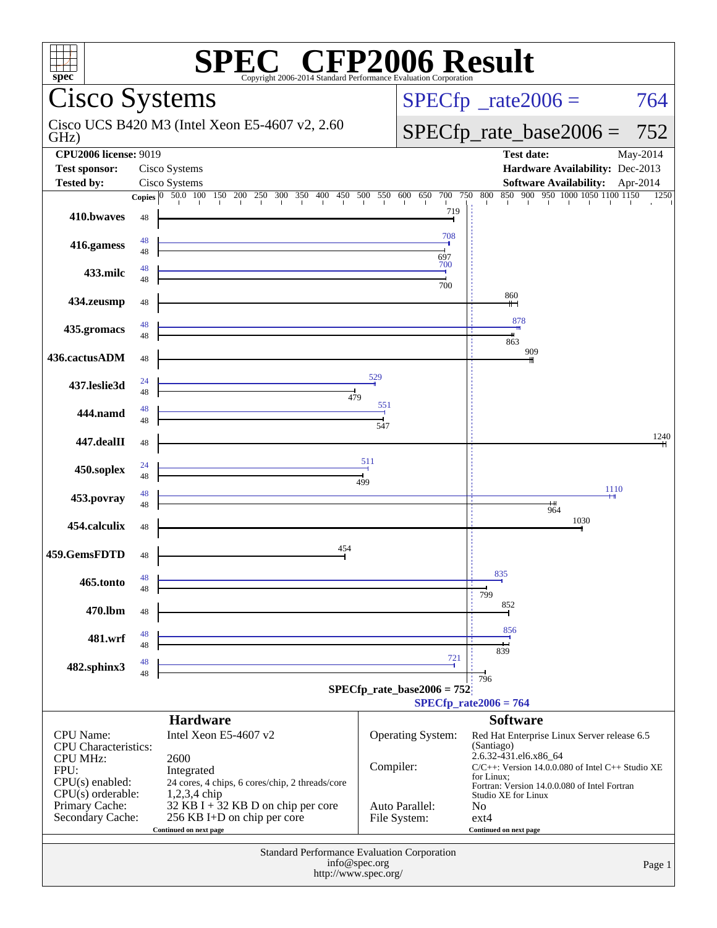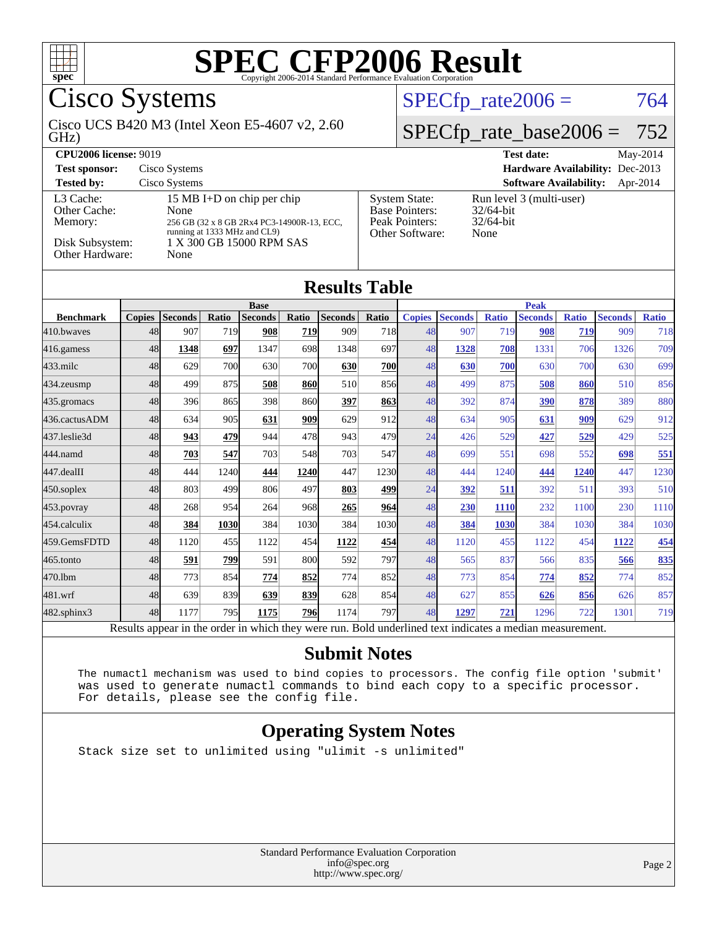

Cisco Systems

GHz) Cisco UCS B420 M3 (Intel Xeon E5-4607 v2, 2.60  $SPECfp_rate2006 = 764$  $SPECfp_rate2006 = 764$ 

### [SPECfp\\_rate\\_base2006 =](http://www.spec.org/auto/cpu2006/Docs/result-fields.html#SPECfpratebase2006) 752

| <b>CPU2006 license: 9019</b>                                               |                                                                                                                                                      |                                                                                    | <b>Test date:</b><br>May-2014                                    |
|----------------------------------------------------------------------------|------------------------------------------------------------------------------------------------------------------------------------------------------|------------------------------------------------------------------------------------|------------------------------------------------------------------|
| <b>Test sponsor:</b>                                                       | Cisco Systems                                                                                                                                        |                                                                                    | <b>Hardware Availability:</b> Dec-2013                           |
| <b>Tested by:</b>                                                          | Cisco Systems                                                                                                                                        |                                                                                    | <b>Software Availability:</b><br>Apr-2014                        |
| L3 Cache:<br>Other Cache:<br>Memory:<br>Disk Subsystem:<br>Other Hardware: | 15 MB I+D on chip per chip<br>None<br>256 GB (32 x 8 GB 2Rx4 PC3-14900R-13, ECC,<br>running at 1333 MHz and CL9)<br>1 X 300 GB 15000 RPM SAS<br>None | <b>System State:</b><br><b>Base Pointers:</b><br>Peak Pointers:<br>Other Software: | Run level 3 (multi-user)<br>$32/64$ -bit<br>$32/64$ -bit<br>None |

#### **[Results Table](http://www.spec.org/auto/cpu2006/Docs/result-fields.html#ResultsTable)**

|                   |               | <b>Base</b>    |       |                |            |                |              | <b>Peak</b>   |                |              |                |              |                |              |  |
|-------------------|---------------|----------------|-------|----------------|------------|----------------|--------------|---------------|----------------|--------------|----------------|--------------|----------------|--------------|--|
| <b>Benchmark</b>  | <b>Copies</b> | <b>Seconds</b> | Ratio | <b>Seconds</b> | Ratio      | <b>Seconds</b> | <b>Ratio</b> | <b>Copies</b> | <b>Seconds</b> | <b>Ratio</b> | <b>Seconds</b> | <b>Ratio</b> | <b>Seconds</b> | <b>Ratio</b> |  |
| 410.bwaves        | 48            | 907            | 719   | 908            | 719        | 909            | 718          | 48            | 907            | 719          | 908            | 719          | 909            | 718          |  |
| 416.gamess        | 48            | 1348           | 697   | 1347           | 698        | 1348           | 697          | 48            | 1328           | 708          | 1331           | 706          | 1326           | 709          |  |
| $433$ .milc       | 48            | 629            | 700   | 630            | <b>700</b> | 630            | <b>700</b>   | 48            | 630            | 700          | 630            | 700          | 630            | 699          |  |
| 434.zeusmp        | 48            | 499            | 875   | 508            | <b>860</b> | 510            | 856          | 48            | 499            | 875          | 508            | 860          | 510            | 856          |  |
| 435.gromacs       | 48            | 396            | 865   | 398            | 860        | 397            | 863          | 48            | 392            | 874          | 390            | 878          | 389            | 880          |  |
| 436.cactusADM     | 48            | 634            | 905   | 631            | 909        | 629            | 912          | 48            | 634            | 905          | 631            | 909          | 629            | 912          |  |
| 437.leslie3d      | 48            | 943            | 479   | 944            | 478        | 943            | 479          | 24            | 426            | 529          | 427            | 529          | 429            | 525          |  |
| 444.namd          | 48            | 703            | 547   | 703            | 548        | 703            | 547          | 48            | 699            | 551          | 698            | 552          | 698            | 551          |  |
| 447.dealII        | 48            | 444            | 1240  | 444            | 1240       | 447            | 1230         | 48            | 444            | 1240         | 444            | 1240         | 447            | 1230         |  |
| $450$ .soplex     | 48            | 803            | 499   | 806            | 497        | 803            | 499          | 24            | 392            | 511          | 392            | 511          | 393            | 510          |  |
| 453.povray        | 48            | 268            | 954   | 264            | 968        | 265            | 964          | 48            | 230            | <b>1110</b>  | 232            | 1100         | 230            | 1110         |  |
| 454.calculix      | 48            | 384            | 1030  | 384            | 1030       | 384            | 1030         | 48            | 384            | 1030         | 384            | 1030         | 384            | 1030         |  |
| 459.GemsFDTD      | 48            | 1120           | 455   | 1122           | 454        | 1122           | 454          | 48            | 1120           | 455          | 1122           | 454          | 1122           | 454          |  |
| 465.tonto         | 48            | 591            | 799   | 591            | 800l       | 592            | 797          | 48            | 565            | 837          | 566            | 835          | 566            | 835          |  |
| 470.1bm           | 48            | 773            | 854   | 774            | 852        | 774            | 852          | 48            | 773            | 854          | 774            | 852          | 774            | 852          |  |
| $481$ .wrf        | 48            | 639            | 839   | 639            | 839        | 628            | 854          | 48            | 627            | 855          | 626            | 856          | 626            | 857          |  |
| $482$ .sphinx $3$ | 48            | 1177           | 795   | 1175           | <b>796</b> | 1174           | 797          | 48            | 1297           | 721          | 1296           | 722          | 1301           | 719          |  |
|                   |               |                |       |                |            |                |              |               |                |              |                |              |                |              |  |

Results appear in the [order in which they were run.](http://www.spec.org/auto/cpu2006/Docs/result-fields.html#RunOrder) Bold underlined text [indicates a median measurement.](http://www.spec.org/auto/cpu2006/Docs/result-fields.html#Median)

#### **[Submit Notes](http://www.spec.org/auto/cpu2006/Docs/result-fields.html#SubmitNotes)**

 The numactl mechanism was used to bind copies to processors. The config file option 'submit' was used to generate numactl commands to bind each copy to a specific processor. For details, please see the config file.

#### **[Operating System Notes](http://www.spec.org/auto/cpu2006/Docs/result-fields.html#OperatingSystemNotes)**

Stack size set to unlimited using "ulimit -s unlimited"

Standard Performance Evaluation Corporation [info@spec.org](mailto:info@spec.org) <http://www.spec.org/>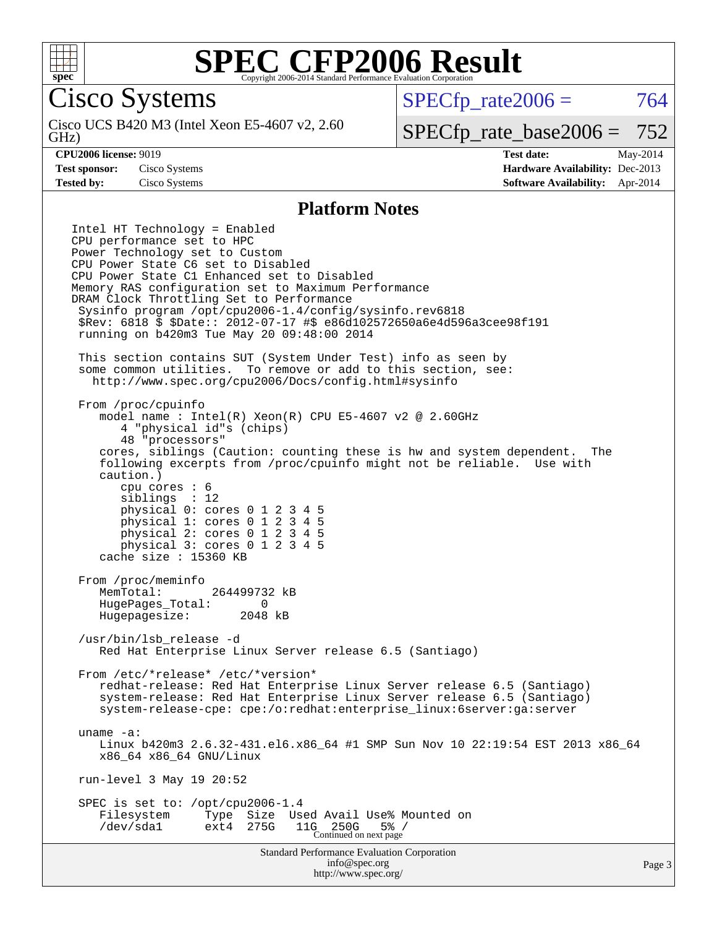

Cisco Systems

GHz) Cisco UCS B420 M3 (Intel Xeon E5-4607 v2, 2.60  $SPECTp\_rate2006 = 764$ 

### [SPECfp\\_rate\\_base2006 =](http://www.spec.org/auto/cpu2006/Docs/result-fields.html#SPECfpratebase2006) 752

**[CPU2006 license:](http://www.spec.org/auto/cpu2006/Docs/result-fields.html#CPU2006license)** 9019 **[Test date:](http://www.spec.org/auto/cpu2006/Docs/result-fields.html#Testdate)** May-2014 **[Test sponsor:](http://www.spec.org/auto/cpu2006/Docs/result-fields.html#Testsponsor)** Cisco Systems **[Hardware Availability:](http://www.spec.org/auto/cpu2006/Docs/result-fields.html#HardwareAvailability)** Dec-2013 **[Tested by:](http://www.spec.org/auto/cpu2006/Docs/result-fields.html#Testedby)** Cisco Systems **[Software Availability:](http://www.spec.org/auto/cpu2006/Docs/result-fields.html#SoftwareAvailability)** Apr-2014

#### **[Platform Notes](http://www.spec.org/auto/cpu2006/Docs/result-fields.html#PlatformNotes)**

Standard Performance Evaluation Corporation [info@spec.org](mailto:info@spec.org) Intel HT Technology = Enabled CPU performance set to HPC Power Technology set to Custom CPU Power State C6 set to Disabled CPU Power State C1 Enhanced set to Disabled Memory RAS configuration set to Maximum Performance DRAM Clock Throttling Set to Performance Sysinfo program /opt/cpu2006-1.4/config/sysinfo.rev6818 \$Rev: 6818 \$ \$Date:: 2012-07-17 #\$ e86d102572650a6e4d596a3cee98f191 running on b420m3 Tue May 20 09:48:00 2014 This section contains SUT (System Under Test) info as seen by some common utilities. To remove or add to this section, see: <http://www.spec.org/cpu2006/Docs/config.html#sysinfo> From /proc/cpuinfo model name : Intel(R) Xeon(R) CPU E5-4607 v2 @ 2.60GHz 4 "physical id"s (chips) 48 "processors" cores, siblings (Caution: counting these is hw and system dependent. The following excerpts from /proc/cpuinfo might not be reliable. Use with caution.) cpu cores : 6 siblings : 12 physical 0: cores 0 1 2 3 4 5 physical 1: cores 0 1 2 3 4 5 physical 2: cores 0 1 2 3 4 5 physical 3: cores 0 1 2 3 4 5 cache size : 15360 KB From /proc/meminfo MemTotal: 264499732 kB HugePages\_Total: 0 Hugepagesize: 2048 kB /usr/bin/lsb\_release -d Red Hat Enterprise Linux Server release 6.5 (Santiago) From /etc/\*release\* /etc/\*version\* redhat-release: Red Hat Enterprise Linux Server release 6.5 (Santiago) system-release: Red Hat Enterprise Linux Server release 6.5 (Santiago) system-release-cpe: cpe:/o:redhat:enterprise\_linux:6server:ga:server uname -a: Linux b420m3 2.6.32-431.el6.x86\_64 #1 SMP Sun Nov 10 22:19:54 EST 2013 x86\_64 x86\_64 x86\_64 GNU/Linux run-level 3 May 19 20:52 SPEC is set to: /opt/cpu2006-1.4 Filesystem Type Size Used Avail Use% Mounted on<br>
/dev/sdal ext4 275G 11G 250G 5% / /dev/sda1 ext4 275G 11G 250G 5% / Continued on next page

<http://www.spec.org/>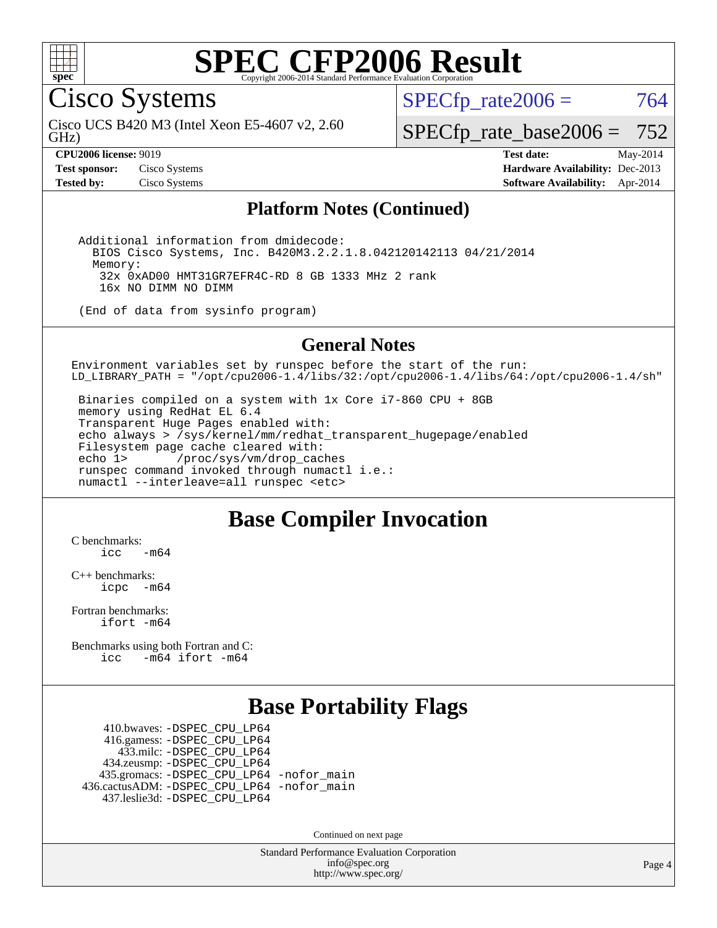

Cisco Systems

GHz) Cisco UCS B420 M3 (Intel Xeon E5-4607 v2, 2.60  $SPECTp\_rate2006 = 764$ 

[SPECfp\\_rate\\_base2006 =](http://www.spec.org/auto/cpu2006/Docs/result-fields.html#SPECfpratebase2006) 752

**[CPU2006 license:](http://www.spec.org/auto/cpu2006/Docs/result-fields.html#CPU2006license)** 9019 **[Test date:](http://www.spec.org/auto/cpu2006/Docs/result-fields.html#Testdate)** May-2014 **[Test sponsor:](http://www.spec.org/auto/cpu2006/Docs/result-fields.html#Testsponsor)** Cisco Systems **[Hardware Availability:](http://www.spec.org/auto/cpu2006/Docs/result-fields.html#HardwareAvailability)** Dec-2013 **[Tested by:](http://www.spec.org/auto/cpu2006/Docs/result-fields.html#Testedby)** Cisco Systems **[Software Availability:](http://www.spec.org/auto/cpu2006/Docs/result-fields.html#SoftwareAvailability)** Apr-2014

#### **[Platform Notes \(Continued\)](http://www.spec.org/auto/cpu2006/Docs/result-fields.html#PlatformNotes)**

 Additional information from dmidecode: BIOS Cisco Systems, Inc. B420M3.2.2.1.8.042120142113 04/21/2014 Memory: 32x 0xAD00 HMT31GR7EFR4C-RD 8 GB 1333 MHz 2 rank 16x NO DIMM NO DIMM

(End of data from sysinfo program)

#### **[General Notes](http://www.spec.org/auto/cpu2006/Docs/result-fields.html#GeneralNotes)**

Environment variables set by runspec before the start of the run: LD\_LIBRARY\_PATH = "/opt/cpu2006-1.4/libs/32:/opt/cpu2006-1.4/libs/64:/opt/cpu2006-1.4/sh"

 Binaries compiled on a system with 1x Core i7-860 CPU + 8GB memory using RedHat EL 6.4 Transparent Huge Pages enabled with: echo always > /sys/kernel/mm/redhat\_transparent\_hugepage/enabled Filesystem page cache cleared with: echo 1> /proc/sys/vm/drop\_caches runspec command invoked through numactl i.e.: numactl --interleave=all runspec <etc>

### **[Base Compiler Invocation](http://www.spec.org/auto/cpu2006/Docs/result-fields.html#BaseCompilerInvocation)**

[C benchmarks](http://www.spec.org/auto/cpu2006/Docs/result-fields.html#Cbenchmarks):  $icc$   $-m64$ 

[C++ benchmarks:](http://www.spec.org/auto/cpu2006/Docs/result-fields.html#CXXbenchmarks) [icpc -m64](http://www.spec.org/cpu2006/results/res2014q3/cpu2006-20140606-29836.flags.html#user_CXXbase_intel_icpc_64bit_bedb90c1146cab66620883ef4f41a67e)

[Fortran benchmarks](http://www.spec.org/auto/cpu2006/Docs/result-fields.html#Fortranbenchmarks): [ifort -m64](http://www.spec.org/cpu2006/results/res2014q3/cpu2006-20140606-29836.flags.html#user_FCbase_intel_ifort_64bit_ee9d0fb25645d0210d97eb0527dcc06e)

[Benchmarks using both Fortran and C](http://www.spec.org/auto/cpu2006/Docs/result-fields.html#BenchmarksusingbothFortranandC): [icc -m64](http://www.spec.org/cpu2006/results/res2014q3/cpu2006-20140606-29836.flags.html#user_CC_FCbase_intel_icc_64bit_0b7121f5ab7cfabee23d88897260401c) [ifort -m64](http://www.spec.org/cpu2006/results/res2014q3/cpu2006-20140606-29836.flags.html#user_CC_FCbase_intel_ifort_64bit_ee9d0fb25645d0210d97eb0527dcc06e)

### **[Base Portability Flags](http://www.spec.org/auto/cpu2006/Docs/result-fields.html#BasePortabilityFlags)**

 410.bwaves: [-DSPEC\\_CPU\\_LP64](http://www.spec.org/cpu2006/results/res2014q3/cpu2006-20140606-29836.flags.html#suite_basePORTABILITY410_bwaves_DSPEC_CPU_LP64) 416.gamess: [-DSPEC\\_CPU\\_LP64](http://www.spec.org/cpu2006/results/res2014q3/cpu2006-20140606-29836.flags.html#suite_basePORTABILITY416_gamess_DSPEC_CPU_LP64) 433.milc: [-DSPEC\\_CPU\\_LP64](http://www.spec.org/cpu2006/results/res2014q3/cpu2006-20140606-29836.flags.html#suite_basePORTABILITY433_milc_DSPEC_CPU_LP64) 434.zeusmp: [-DSPEC\\_CPU\\_LP64](http://www.spec.org/cpu2006/results/res2014q3/cpu2006-20140606-29836.flags.html#suite_basePORTABILITY434_zeusmp_DSPEC_CPU_LP64) 435.gromacs: [-DSPEC\\_CPU\\_LP64](http://www.spec.org/cpu2006/results/res2014q3/cpu2006-20140606-29836.flags.html#suite_basePORTABILITY435_gromacs_DSPEC_CPU_LP64) [-nofor\\_main](http://www.spec.org/cpu2006/results/res2014q3/cpu2006-20140606-29836.flags.html#user_baseLDPORTABILITY435_gromacs_f-nofor_main) 436.cactusADM: [-DSPEC\\_CPU\\_LP64](http://www.spec.org/cpu2006/results/res2014q3/cpu2006-20140606-29836.flags.html#suite_basePORTABILITY436_cactusADM_DSPEC_CPU_LP64) [-nofor\\_main](http://www.spec.org/cpu2006/results/res2014q3/cpu2006-20140606-29836.flags.html#user_baseLDPORTABILITY436_cactusADM_f-nofor_main) 437.leslie3d: [-DSPEC\\_CPU\\_LP64](http://www.spec.org/cpu2006/results/res2014q3/cpu2006-20140606-29836.flags.html#suite_basePORTABILITY437_leslie3d_DSPEC_CPU_LP64)

Continued on next page

Standard Performance Evaluation Corporation [info@spec.org](mailto:info@spec.org) <http://www.spec.org/>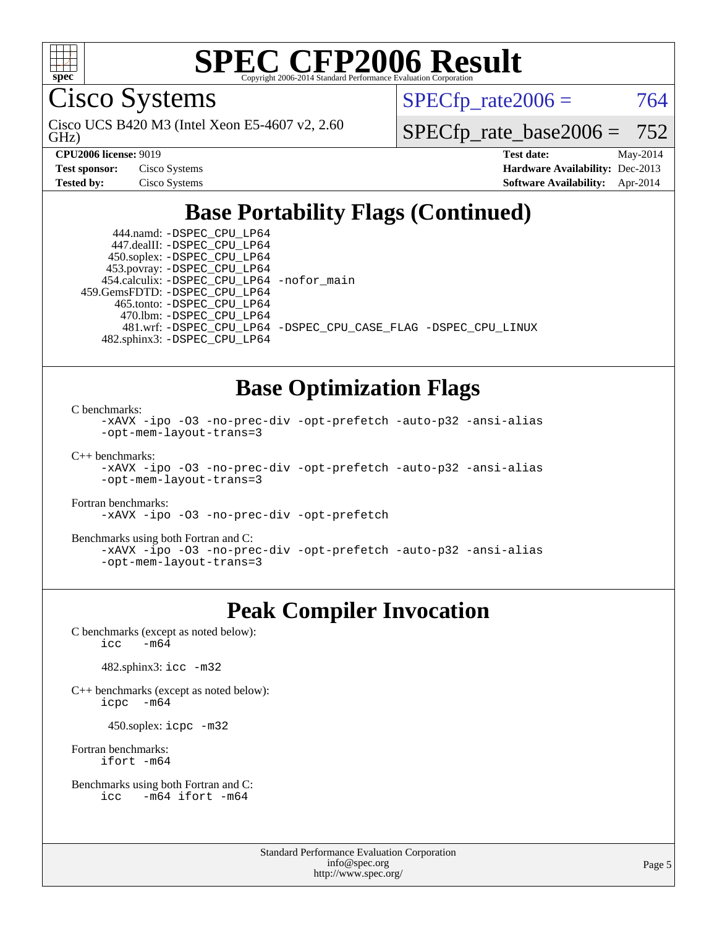

Cisco Systems

GHz) Cisco UCS B420 M3 (Intel Xeon E5-4607 v2, 2.60  $SPECTp\_rate2006 = 764$ 

[SPECfp\\_rate\\_base2006 =](http://www.spec.org/auto/cpu2006/Docs/result-fields.html#SPECfpratebase2006) 752

| <b>Test sponsor:</b> | Cisco Systems |
|----------------------|---------------|
| Tested by:           | Cisco Systems |

**[CPU2006 license:](http://www.spec.org/auto/cpu2006/Docs/result-fields.html#CPU2006license)** 9019 **[Test date:](http://www.spec.org/auto/cpu2006/Docs/result-fields.html#Testdate)** May-2014 **[Hardware Availability:](http://www.spec.org/auto/cpu2006/Docs/result-fields.html#HardwareAvailability)** Dec-2013 **[Software Availability:](http://www.spec.org/auto/cpu2006/Docs/result-fields.html#SoftwareAvailability)** Apr-2014

## **[Base Portability Flags \(Continued\)](http://www.spec.org/auto/cpu2006/Docs/result-fields.html#BasePortabilityFlags)**

 444.namd: [-DSPEC\\_CPU\\_LP64](http://www.spec.org/cpu2006/results/res2014q3/cpu2006-20140606-29836.flags.html#suite_basePORTABILITY444_namd_DSPEC_CPU_LP64) 447.dealII: [-DSPEC\\_CPU\\_LP64](http://www.spec.org/cpu2006/results/res2014q3/cpu2006-20140606-29836.flags.html#suite_basePORTABILITY447_dealII_DSPEC_CPU_LP64) 450.soplex: [-DSPEC\\_CPU\\_LP64](http://www.spec.org/cpu2006/results/res2014q3/cpu2006-20140606-29836.flags.html#suite_basePORTABILITY450_soplex_DSPEC_CPU_LP64) 453.povray: [-DSPEC\\_CPU\\_LP64](http://www.spec.org/cpu2006/results/res2014q3/cpu2006-20140606-29836.flags.html#suite_basePORTABILITY453_povray_DSPEC_CPU_LP64) 454.calculix: [-DSPEC\\_CPU\\_LP64](http://www.spec.org/cpu2006/results/res2014q3/cpu2006-20140606-29836.flags.html#suite_basePORTABILITY454_calculix_DSPEC_CPU_LP64) [-nofor\\_main](http://www.spec.org/cpu2006/results/res2014q3/cpu2006-20140606-29836.flags.html#user_baseLDPORTABILITY454_calculix_f-nofor_main) 459.GemsFDTD: [-DSPEC\\_CPU\\_LP64](http://www.spec.org/cpu2006/results/res2014q3/cpu2006-20140606-29836.flags.html#suite_basePORTABILITY459_GemsFDTD_DSPEC_CPU_LP64) 465.tonto: [-DSPEC\\_CPU\\_LP64](http://www.spec.org/cpu2006/results/res2014q3/cpu2006-20140606-29836.flags.html#suite_basePORTABILITY465_tonto_DSPEC_CPU_LP64) 470.lbm: [-DSPEC\\_CPU\\_LP64](http://www.spec.org/cpu2006/results/res2014q3/cpu2006-20140606-29836.flags.html#suite_basePORTABILITY470_lbm_DSPEC_CPU_LP64) 482.sphinx3: [-DSPEC\\_CPU\\_LP64](http://www.spec.org/cpu2006/results/res2014q3/cpu2006-20140606-29836.flags.html#suite_basePORTABILITY482_sphinx3_DSPEC_CPU_LP64)

481.wrf: [-DSPEC\\_CPU\\_LP64](http://www.spec.org/cpu2006/results/res2014q3/cpu2006-20140606-29836.flags.html#suite_basePORTABILITY481_wrf_DSPEC_CPU_LP64) [-DSPEC\\_CPU\\_CASE\\_FLAG](http://www.spec.org/cpu2006/results/res2014q3/cpu2006-20140606-29836.flags.html#b481.wrf_baseCPORTABILITY_DSPEC_CPU_CASE_FLAG) [-DSPEC\\_CPU\\_LINUX](http://www.spec.org/cpu2006/results/res2014q3/cpu2006-20140606-29836.flags.html#b481.wrf_baseCPORTABILITY_DSPEC_CPU_LINUX)

#### **[Base Optimization Flags](http://www.spec.org/auto/cpu2006/Docs/result-fields.html#BaseOptimizationFlags)**

[C benchmarks](http://www.spec.org/auto/cpu2006/Docs/result-fields.html#Cbenchmarks):

```
-xAVX -ipo -O3 -no-prec-div -opt-prefetch -auto-p32 -ansi-alias
-opt-mem-layout-trans=3
```
[C++ benchmarks:](http://www.spec.org/auto/cpu2006/Docs/result-fields.html#CXXbenchmarks)

```
-xAVX -ipo -O3 -no-prec-div -opt-prefetch -auto-p32 -ansi-alias
-opt-mem-layout-trans=3
```
[Fortran benchmarks](http://www.spec.org/auto/cpu2006/Docs/result-fields.html#Fortranbenchmarks):

[-xAVX](http://www.spec.org/cpu2006/results/res2014q3/cpu2006-20140606-29836.flags.html#user_FCbase_f-xAVX) [-ipo](http://www.spec.org/cpu2006/results/res2014q3/cpu2006-20140606-29836.flags.html#user_FCbase_f-ipo) [-O3](http://www.spec.org/cpu2006/results/res2014q3/cpu2006-20140606-29836.flags.html#user_FCbase_f-O3) [-no-prec-div](http://www.spec.org/cpu2006/results/res2014q3/cpu2006-20140606-29836.flags.html#user_FCbase_f-no-prec-div) [-opt-prefetch](http://www.spec.org/cpu2006/results/res2014q3/cpu2006-20140606-29836.flags.html#user_FCbase_f-opt-prefetch)

[Benchmarks using both Fortran and C](http://www.spec.org/auto/cpu2006/Docs/result-fields.html#BenchmarksusingbothFortranandC):

```
-xAVX -ipo -O3 -no-prec-div -opt-prefetch -auto-p32 -ansi-alias
-opt-mem-layout-trans=3
```
### **[Peak Compiler Invocation](http://www.spec.org/auto/cpu2006/Docs/result-fields.html#PeakCompilerInvocation)**

[C benchmarks \(except as noted below\)](http://www.spec.org/auto/cpu2006/Docs/result-fields.html#Cbenchmarksexceptasnotedbelow):<br> $\frac{1}{\text{CC}}$  -m64  $-m64$ 

482.sphinx3: [icc -m32](http://www.spec.org/cpu2006/results/res2014q3/cpu2006-20140606-29836.flags.html#user_peakCCLD482_sphinx3_intel_icc_a6a621f8d50482236b970c6ac5f55f93)

[C++ benchmarks \(except as noted below\):](http://www.spec.org/auto/cpu2006/Docs/result-fields.html#CXXbenchmarksexceptasnotedbelow) [icpc -m64](http://www.spec.org/cpu2006/results/res2014q3/cpu2006-20140606-29836.flags.html#user_CXXpeak_intel_icpc_64bit_bedb90c1146cab66620883ef4f41a67e)

450.soplex: [icpc -m32](http://www.spec.org/cpu2006/results/res2014q3/cpu2006-20140606-29836.flags.html#user_peakCXXLD450_soplex_intel_icpc_4e5a5ef1a53fd332b3c49e69c3330699)

[Fortran benchmarks](http://www.spec.org/auto/cpu2006/Docs/result-fields.html#Fortranbenchmarks): [ifort -m64](http://www.spec.org/cpu2006/results/res2014q3/cpu2006-20140606-29836.flags.html#user_FCpeak_intel_ifort_64bit_ee9d0fb25645d0210d97eb0527dcc06e)

```
Benchmarks using both Fortran and C: 
    icc -m64 ifort -m64
```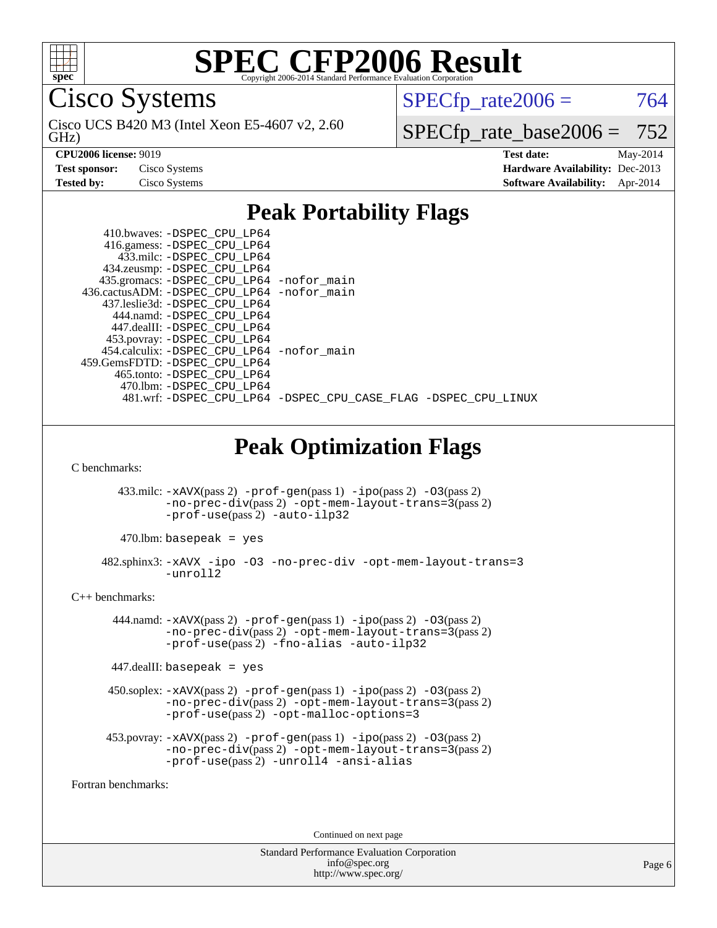

Cisco Systems

GHz) Cisco UCS B420 M3 (Intel Xeon E5-4607 v2, 2.60  $SPECTp\_rate2006 = 764$ 

[SPECfp\\_rate\\_base2006 =](http://www.spec.org/auto/cpu2006/Docs/result-fields.html#SPECfpratebase2006) 752

**[CPU2006 license:](http://www.spec.org/auto/cpu2006/Docs/result-fields.html#CPU2006license)** 9019 **[Test date:](http://www.spec.org/auto/cpu2006/Docs/result-fields.html#Testdate)** May-2014 **[Test sponsor:](http://www.spec.org/auto/cpu2006/Docs/result-fields.html#Testsponsor)** Cisco Systems **[Hardware Availability:](http://www.spec.org/auto/cpu2006/Docs/result-fields.html#HardwareAvailability)** Dec-2013 **[Tested by:](http://www.spec.org/auto/cpu2006/Docs/result-fields.html#Testedby)** Cisco Systems **[Software Availability:](http://www.spec.org/auto/cpu2006/Docs/result-fields.html#SoftwareAvailability)** Apr-2014

### **[Peak Portability Flags](http://www.spec.org/auto/cpu2006/Docs/result-fields.html#PeakPortabilityFlags)**

| 410.bwaves: -DSPEC CPU LP64                |                                                                |
|--------------------------------------------|----------------------------------------------------------------|
| 416.gamess: -DSPEC_CPU_LP64                |                                                                |
| 433.milc: -DSPEC CPU LP64                  |                                                                |
| 434.zeusmp: -DSPEC_CPU_LP64                |                                                                |
| 435.gromacs: -DSPEC_CPU_LP64 -nofor_main   |                                                                |
| 436.cactusADM: -DSPEC CPU LP64 -nofor main |                                                                |
| 437.leslie3d: -DSPEC CPU LP64              |                                                                |
| 444.namd: -DSPEC CPU LP64                  |                                                                |
| 447.dealII: -DSPEC CPU LP64                |                                                                |
| 453.povray: -DSPEC_CPU_LP64                |                                                                |
| 454.calculix: -DSPEC CPU LP64 -nofor main  |                                                                |
| 459.GemsFDTD: -DSPEC CPU LP64              |                                                                |
| 465.tonto: -DSPEC CPU LP64                 |                                                                |
| 470.1bm: - DSPEC CPU LP64                  |                                                                |
|                                            | 481.wrf: -DSPEC CPU_LP64 -DSPEC_CPU_CASE_FLAG -DSPEC_CPU_LINUX |

### **[Peak Optimization Flags](http://www.spec.org/auto/cpu2006/Docs/result-fields.html#PeakOptimizationFlags)**

[C benchmarks](http://www.spec.org/auto/cpu2006/Docs/result-fields.html#Cbenchmarks):

 433.milc: [-xAVX](http://www.spec.org/cpu2006/results/res2014q3/cpu2006-20140606-29836.flags.html#user_peakPASS2_CFLAGSPASS2_LDFLAGS433_milc_f-xAVX)(pass 2) [-prof-gen](http://www.spec.org/cpu2006/results/res2014q3/cpu2006-20140606-29836.flags.html#user_peakPASS1_CFLAGSPASS1_LDFLAGS433_milc_prof_gen_e43856698f6ca7b7e442dfd80e94a8fc)(pass 1) [-ipo](http://www.spec.org/cpu2006/results/res2014q3/cpu2006-20140606-29836.flags.html#user_peakPASS2_CFLAGSPASS2_LDFLAGS433_milc_f-ipo)(pass 2) [-O3](http://www.spec.org/cpu2006/results/res2014q3/cpu2006-20140606-29836.flags.html#user_peakPASS2_CFLAGSPASS2_LDFLAGS433_milc_f-O3)(pass 2) [-no-prec-div](http://www.spec.org/cpu2006/results/res2014q3/cpu2006-20140606-29836.flags.html#user_peakPASS2_CFLAGSPASS2_LDFLAGS433_milc_f-no-prec-div)(pass 2) [-opt-mem-layout-trans=3](http://www.spec.org/cpu2006/results/res2014q3/cpu2006-20140606-29836.flags.html#user_peakPASS2_CFLAGS433_milc_f-opt-mem-layout-trans_a7b82ad4bd7abf52556d4961a2ae94d5)(pass 2) [-prof-use](http://www.spec.org/cpu2006/results/res2014q3/cpu2006-20140606-29836.flags.html#user_peakPASS2_CFLAGSPASS2_LDFLAGS433_milc_prof_use_bccf7792157ff70d64e32fe3e1250b55)(pass 2) [-auto-ilp32](http://www.spec.org/cpu2006/results/res2014q3/cpu2006-20140606-29836.flags.html#user_peakCOPTIMIZE433_milc_f-auto-ilp32)

 $470$ .lbm: basepeak = yes

 482.sphinx3: [-xAVX](http://www.spec.org/cpu2006/results/res2014q3/cpu2006-20140606-29836.flags.html#user_peakOPTIMIZE482_sphinx3_f-xAVX) [-ipo](http://www.spec.org/cpu2006/results/res2014q3/cpu2006-20140606-29836.flags.html#user_peakOPTIMIZE482_sphinx3_f-ipo) [-O3](http://www.spec.org/cpu2006/results/res2014q3/cpu2006-20140606-29836.flags.html#user_peakOPTIMIZE482_sphinx3_f-O3) [-no-prec-div](http://www.spec.org/cpu2006/results/res2014q3/cpu2006-20140606-29836.flags.html#user_peakOPTIMIZE482_sphinx3_f-no-prec-div) [-opt-mem-layout-trans=3](http://www.spec.org/cpu2006/results/res2014q3/cpu2006-20140606-29836.flags.html#user_peakOPTIMIZE482_sphinx3_f-opt-mem-layout-trans_a7b82ad4bd7abf52556d4961a2ae94d5)  $-$ unroll2

[C++ benchmarks:](http://www.spec.org/auto/cpu2006/Docs/result-fields.html#CXXbenchmarks)

444.namd:  $-x$ AVX(pass 2)  $-p$ rof-gen(pass 1)  $-p$ po(pass 2)  $-03$ (pass 2) [-no-prec-div](http://www.spec.org/cpu2006/results/res2014q3/cpu2006-20140606-29836.flags.html#user_peakPASS2_CXXFLAGSPASS2_LDFLAGS444_namd_f-no-prec-div)(pass 2) [-opt-mem-layout-trans=3](http://www.spec.org/cpu2006/results/res2014q3/cpu2006-20140606-29836.flags.html#user_peakPASS2_CXXFLAGS444_namd_f-opt-mem-layout-trans_a7b82ad4bd7abf52556d4961a2ae94d5)(pass 2) [-prof-use](http://www.spec.org/cpu2006/results/res2014q3/cpu2006-20140606-29836.flags.html#user_peakPASS2_CXXFLAGSPASS2_LDFLAGS444_namd_prof_use_bccf7792157ff70d64e32fe3e1250b55)(pass 2) [-fno-alias](http://www.spec.org/cpu2006/results/res2014q3/cpu2006-20140606-29836.flags.html#user_peakCXXOPTIMIZE444_namd_f-no-alias_694e77f6c5a51e658e82ccff53a9e63a) [-auto-ilp32](http://www.spec.org/cpu2006/results/res2014q3/cpu2006-20140606-29836.flags.html#user_peakCXXOPTIMIZE444_namd_f-auto-ilp32)

 $447$ .dealII: basepeak = yes

 450.soplex: [-xAVX](http://www.spec.org/cpu2006/results/res2014q3/cpu2006-20140606-29836.flags.html#user_peakPASS2_CXXFLAGSPASS2_LDFLAGS450_soplex_f-xAVX)(pass 2) [-prof-gen](http://www.spec.org/cpu2006/results/res2014q3/cpu2006-20140606-29836.flags.html#user_peakPASS1_CXXFLAGSPASS1_LDFLAGS450_soplex_prof_gen_e43856698f6ca7b7e442dfd80e94a8fc)(pass 1) [-ipo](http://www.spec.org/cpu2006/results/res2014q3/cpu2006-20140606-29836.flags.html#user_peakPASS2_CXXFLAGSPASS2_LDFLAGS450_soplex_f-ipo)(pass 2) [-O3](http://www.spec.org/cpu2006/results/res2014q3/cpu2006-20140606-29836.flags.html#user_peakPASS2_CXXFLAGSPASS2_LDFLAGS450_soplex_f-O3)(pass 2) [-no-prec-div](http://www.spec.org/cpu2006/results/res2014q3/cpu2006-20140606-29836.flags.html#user_peakPASS2_CXXFLAGSPASS2_LDFLAGS450_soplex_f-no-prec-div)(pass 2) [-opt-mem-layout-trans=3](http://www.spec.org/cpu2006/results/res2014q3/cpu2006-20140606-29836.flags.html#user_peakPASS2_CXXFLAGS450_soplex_f-opt-mem-layout-trans_a7b82ad4bd7abf52556d4961a2ae94d5)(pass 2) [-prof-use](http://www.spec.org/cpu2006/results/res2014q3/cpu2006-20140606-29836.flags.html#user_peakPASS2_CXXFLAGSPASS2_LDFLAGS450_soplex_prof_use_bccf7792157ff70d64e32fe3e1250b55)(pass 2) [-opt-malloc-options=3](http://www.spec.org/cpu2006/results/res2014q3/cpu2006-20140606-29836.flags.html#user_peakOPTIMIZE450_soplex_f-opt-malloc-options_13ab9b803cf986b4ee62f0a5998c2238)

```
 453.povray: -xAVX(pass 2) -prof-gen(pass 1) -ipo(pass 2) -O3(pass 2)
          -no-prec-div(pass 2) -opt-mem-layout-trans=3(pass 2)
          -prof-use(pass 2) -unroll4 -ansi-alias
```
[Fortran benchmarks](http://www.spec.org/auto/cpu2006/Docs/result-fields.html#Fortranbenchmarks):

Continued on next page

Standard Performance Evaluation Corporation [info@spec.org](mailto:info@spec.org) <http://www.spec.org/>